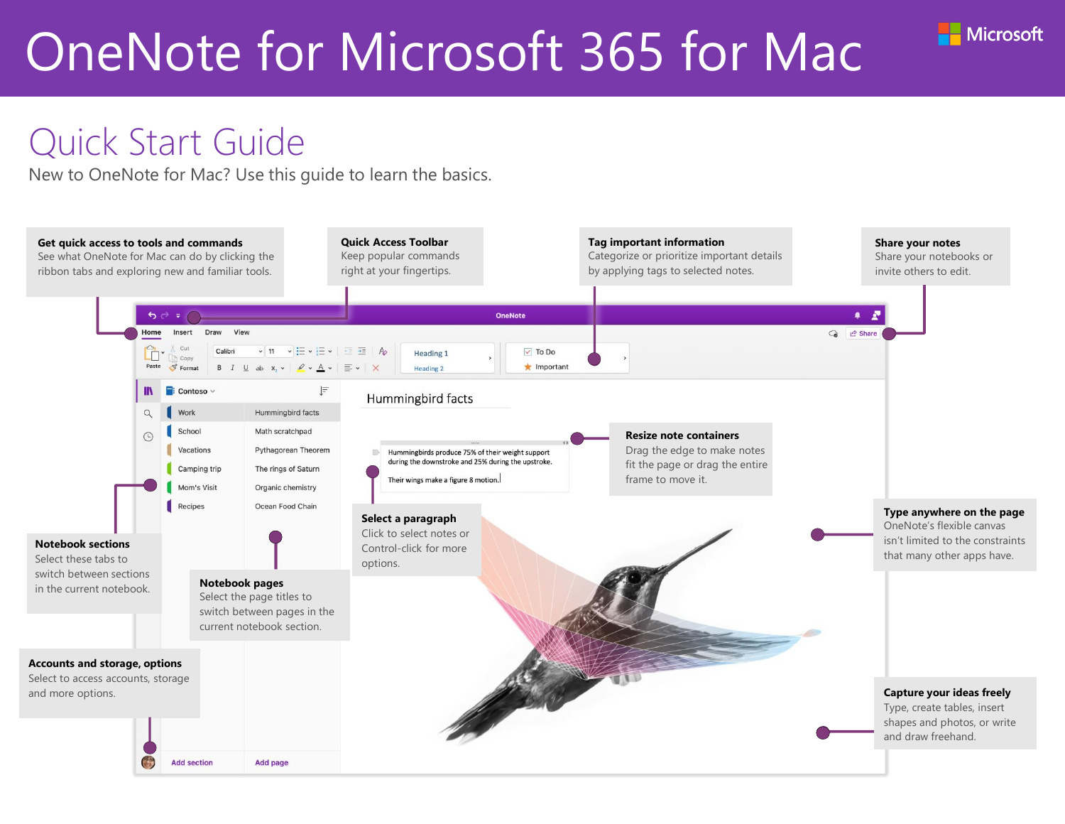- Microsoft



New to OneNote for Mac? Use this guide to learn the basics.

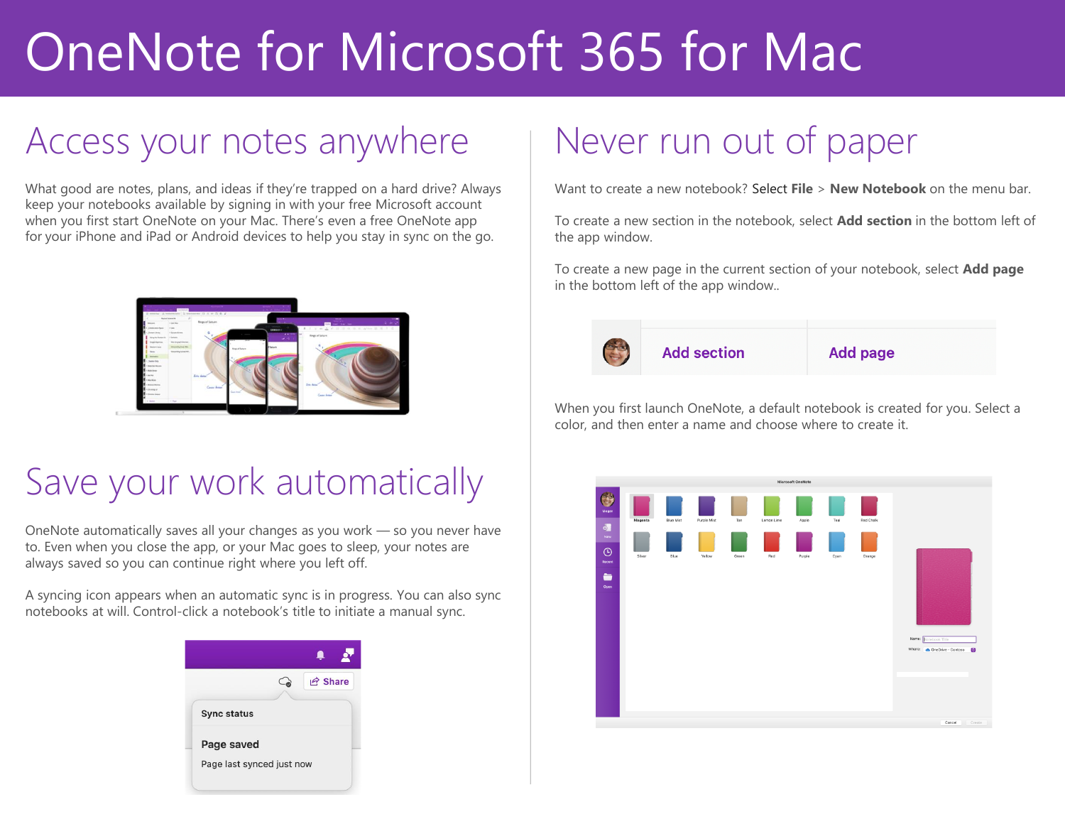### Access your notes anywhere

What good are notes, plans, and ideas if they're trapped on a hard drive? Always keep your notebooks available by signing in with your free Microsoft account when you first start OneNote on your Mac. There's even a free OneNote app for your iPhone and iPad or Android devices to help you stay in sync on the go.



#### Save your work automatically

OneNote automatically saves all your changes as you work — so you never have to. Even when you close the app, or your Mac goes to sleep, your notes are always saved so you can continue right where you left off.

A syncing icon appears when an automatic sync is in progress. You can also sync notebooks at will. Control-click a notebook's title to initiate a manual sync.



## Never run out of paper

Want to create a new notebook? Select **File** > **New Notebook** on the menu bar.

To create a new section in the notebook, select **Add section** in the bottom left of the app window.

To create a new page in the current section of your notebook, select **Add page** in the bottom left of the app window..



When you first launch OneNote, a default notebook is created for you. Select a color, and then enter a name and choose where to create it.

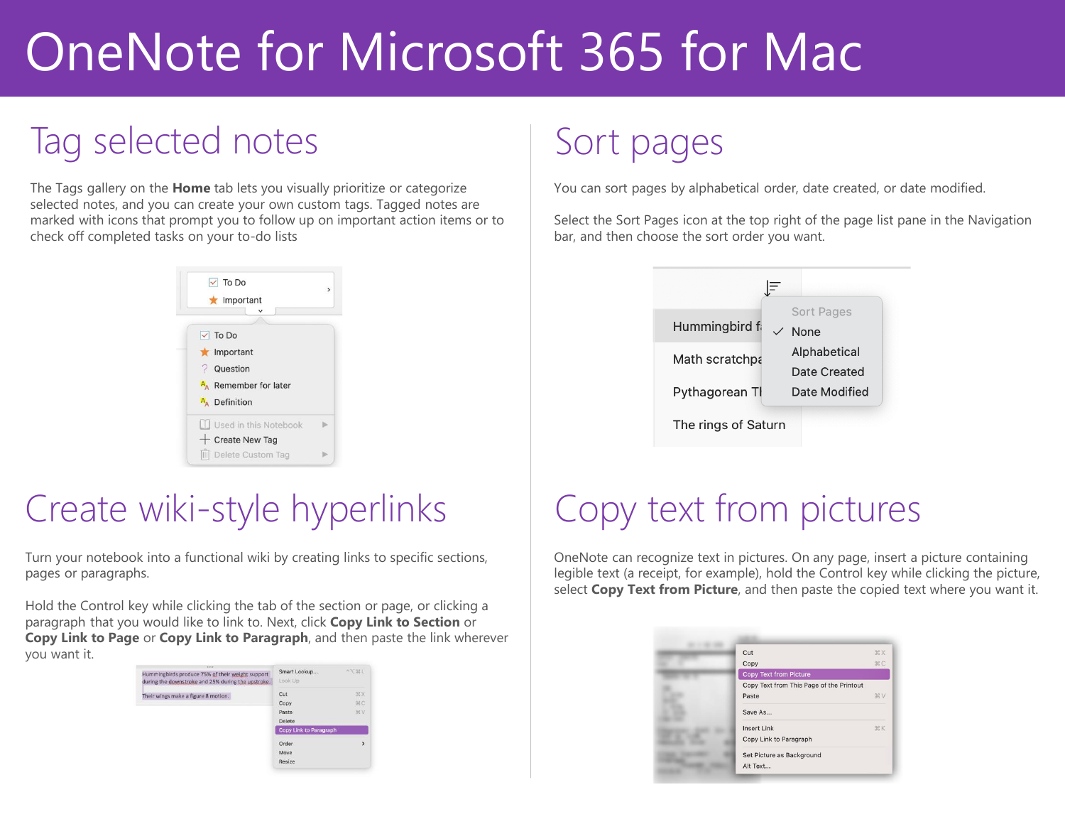## Tag selected notes

The Tags gallery on the **Home** tab lets you visually prioritize or categorize selected notes, and you can create your own custom tags. Tagged notes are marked with icons that prompt you to follow up on important action items or to check off completed tasks on your to-do lists



### Create wiki-style hyperlinks

Turn your notebook into a functional wiki by creating links to specific sections, pages or paragraphs.

Hold the Control key while clicking the tab of the section or page, or clicking a paragraph that you would like to link to. Next, click **Copy Link to Section** or **Copy Link to Page** or **Copy Link to Paragraph**, and then paste the link wherever you want it.

| Hummingbirds produce 75% of their weight support<br>during the downstroke and 25% during the upstroke. | Smart Lookup<br>Look Up | 一下班上         |
|--------------------------------------------------------------------------------------------------------|-------------------------|--------------|
| Their wings make a figure 8 motion.                                                                    | Cut                     | 36 X         |
|                                                                                                        | Copy                    | HC.          |
|                                                                                                        | Paste                   | SEV.         |
|                                                                                                        | Delete                  |              |
|                                                                                                        | Copy Link to Paragraph  |              |
|                                                                                                        | Order                   | $\mathbf{v}$ |
|                                                                                                        | Move                    |              |
|                                                                                                        | Resize                  |              |

## Sort pages

You can sort pages by alphabetical order, date created, or date modified.

Select the Sort Pages icon at the top right of the page list pane in the Navigation bar, and then choose the sort order you want.



## Copy text from pictures

OneNote can recognize text in pictures. On any page, insert a picture containing legible text (a receipt, for example), hold the Control key while clicking the picture, select **Copy Text from Picture**, and then paste the copied text where you want it.

| Cut                                      | <b>XXX</b> |
|------------------------------------------|------------|
| Copy                                     | <b></b>    |
| <b>Copy Text from Picture</b>            |            |
| Copy Text from This Page of the Printout |            |
| Paste                                    | <b>XX</b>  |
| Save As                                  |            |
| <b>Insert Link</b>                       | <b>HK</b>  |
| Copy Link to Paragraph                   |            |
| Set Picture as Background                |            |
| Alt Text                                 |            |